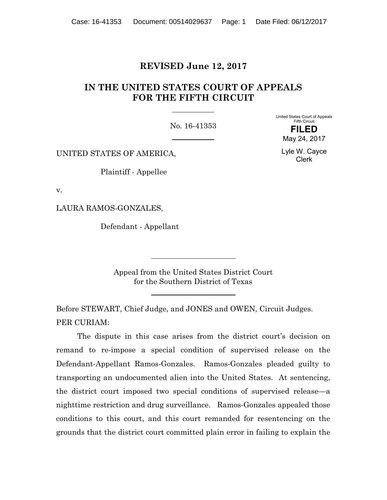# **REVISED June 12, 2017**

# **IN THE UNITED STATES COURT OF APPEALS FOR THE FIFTH CIRCUIT**

No. 16-41353

United States Court of Appeals Fifth Circuit **FILED** May 24, 2017

> Lyle W. Cayce Clerk

UNITED STATES OF AMERICA,

Plaintiff - Appellee

v.

LAURA RAMOS-GONZALES,

Defendant - Appellant

Appeal from the United States District Court for the Southern District of Texas

Before STEWART, Chief Judge, and JONES and OWEN, Circuit Judges. PER CURIAM:

The dispute in this case arises from the district court's decision on remand to re-impose a special condition of supervised release on the Defendant-Appellant Ramos-Gonzales. Ramos-Gonzales pleaded guilty to transporting an undocumented alien into the United States. At sentencing, the district court imposed two special conditions of supervised release—a nighttime restriction and drug surveillance. Ramos-Gonzales appealed those conditions to this court, and this court remanded for resentencing on the grounds that the district court committed plain error in failing to explain the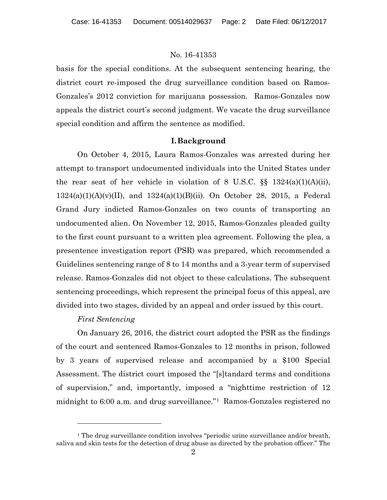basis for the special conditions. At the subsequent sentencing hearing, the district court re-imposed the drug surveillance condition based on Ramos-Gonzales's 2012 conviction for marijuana possession. Ramos-Gonzales now appeals the district court's second judgment. We vacate the drug surveillance special condition and affirm the sentence as modified.

#### **I.Background**

On October 4, 2015, Laura Ramos-Gonzales was arrested during her attempt to transport undocumented individuals into the United States under the rear seat of her vehicle in violation of 8 U.S.C.  $\S$  1324(a)(1)(A)(ii),  $1324(a)(1)(A)(v)(II)$ , and  $1324(a)(1)(B)(ii)$ . On October 28, 2015, a Federal Grand Jury indicted Ramos-Gonzales on two counts of transporting an undocumented alien. On November 12, 2015, Ramos-Gonzales pleaded guilty to the first count pursuant to a written plea agreement. Following the plea, a presentence investigation report (PSR) was prepared, which recommended a Guidelines sentencing range of 8 to 14 months and a 3-year term of supervised release. Ramos-Gonzales did not object to these calculations. The subsequent sentencing proceedings, which represent the principal focus of this appeal, are divided into two stages, divided by an appeal and order issued by this court.

### *First Sentencing*

l

On January 26, 2016, the district court adopted the PSR as the findings of the court and sentenced Ramos-Gonzales to 12 months in prison, followed by 3 years of supervised release and accompanied by a \$100 Special Assessment. The district court imposed the "[s]tandard terms and conditions of supervision," and, importantly, imposed a "nighttime restriction of 12 midnight to 6:00 a.m. and drug surveillance."1 Ramos-Gonzales registered no

<sup>&</sup>lt;sup>1</sup> The drug surveillance condition involves "periodic urine surveillance and/or breath, saliva and skin tests for the detection of drug abuse as directed by the probation officer." The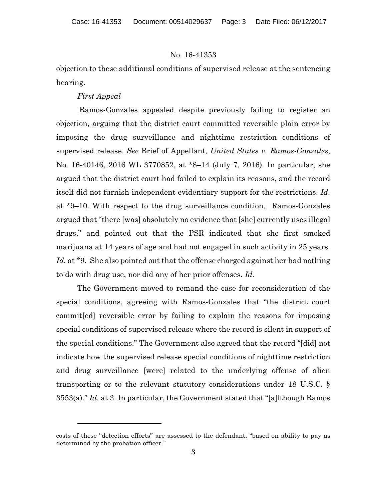objection to these additional conditions of supervised release at the sentencing hearing.

#### *First Appeal*

l

 Ramos-Gonzales appealed despite previously failing to register an objection, arguing that the district court committed reversible plain error by imposing the drug surveillance and nighttime restriction conditions of supervised release. *See* Brief of Appellant, *United States v. Ramos-Gonzales*, No. 16-40146, 2016 WL 3770852, at \*8–14 (July 7, 2016). In particular, she argued that the district court had failed to explain its reasons, and the record itself did not furnish independent evidentiary support for the restrictions. *Id.*  at \*9–10. With respect to the drug surveillance condition, Ramos-Gonzales argued that "there [was] absolutely no evidence that [she] currently uses illegal drugs," and pointed out that the PSR indicated that she first smoked marijuana at 14 years of age and had not engaged in such activity in 25 years. Id. at \*9. She also pointed out that the offense charged against her had nothing to do with drug use, nor did any of her prior offenses. *Id.* 

The Government moved to remand the case for reconsideration of the special conditions, agreeing with Ramos-Gonzales that "the district court commit[ed] reversible error by failing to explain the reasons for imposing special conditions of supervised release where the record is silent in support of the special conditions." The Government also agreed that the record "[did] not indicate how the supervised release special conditions of nighttime restriction and drug surveillance [were] related to the underlying offense of alien transporting or to the relevant statutory considerations under 18 U.S.C. § 3553(a)." *Id.* at 3. In particular, the Government stated that "[a]lthough Ramos

costs of these "detection efforts" are assessed to the defendant, "based on ability to pay as determined by the probation officer."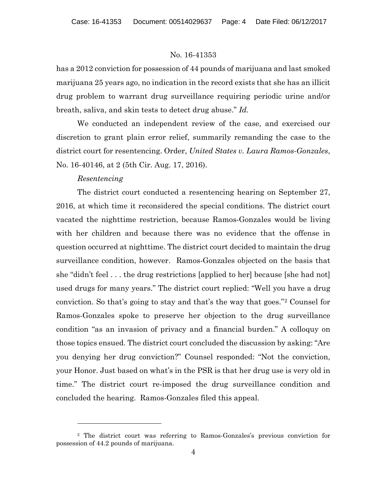has a 2012 conviction for possession of 44 pounds of marijuana and last smoked marijuana 25 years ago, no indication in the record exists that she has an illicit drug problem to warrant drug surveillance requiring periodic urine and/or breath, saliva, and skin tests to detect drug abuse." *Id.*

We conducted an independent review of the case, and exercised our discretion to grant plain error relief, summarily remanding the case to the district court for resentencing. Order, *United States v. Laura Ramos-Gonzales*, No. 16-40146, at 2 (5th Cir. Aug. 17, 2016).

#### *Resentencing*

l

The district court conducted a resentencing hearing on September 27, 2016, at which time it reconsidered the special conditions. The district court vacated the nighttime restriction, because Ramos-Gonzales would be living with her children and because there was no evidence that the offense in question occurred at nighttime. The district court decided to maintain the drug surveillance condition, however. Ramos-Gonzales objected on the basis that she "didn't feel . . . the drug restrictions [applied to her] because [she had not] used drugs for many years." The district court replied: "Well you have a drug conviction. So that's going to stay and that's the way that goes."2 Counsel for Ramos-Gonzales spoke to preserve her objection to the drug surveillance condition "as an invasion of privacy and a financial burden." A colloquy on those topics ensued. The district court concluded the discussion by asking: "Are you denying her drug conviction?" Counsel responded: "Not the conviction, your Honor. Just based on what's in the PSR is that her drug use is very old in time." The district court re-imposed the drug surveillance condition and concluded the hearing. Ramos-Gonzales filed this appeal.

<sup>2</sup> The district court was referring to Ramos-Gonzales's previous conviction for possession of 44.2 pounds of marijuana.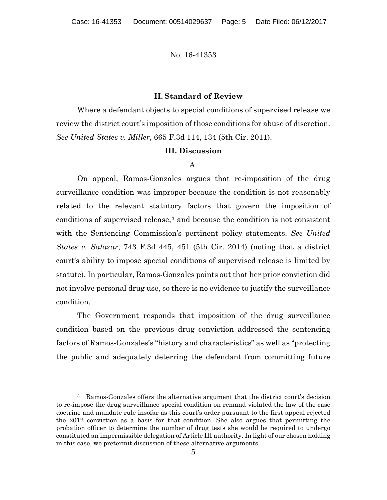#### **II. Standard of Review**

Where a defendant objects to special conditions of supervised release we review the district court's imposition of those conditions for abuse of discretion. *See United States v. Miller*, 665 F.3d 114, 134 (5th Cir. 2011).

#### **III. Discussion**

#### A.

On appeal, Ramos-Gonzales argues that re-imposition of the drug surveillance condition was improper because the condition is not reasonably related to the relevant statutory factors that govern the imposition of conditions of supervised release,3 and because the condition is not consistent with the Sentencing Commission's pertinent policy statements. *See United States v. Salazar*, 743 F.3d 445, 451 (5th Cir. 2014) (noting that a district court's ability to impose special conditions of supervised release is limited by statute). In particular, Ramos-Gonzales points out that her prior conviction did not involve personal drug use, so there is no evidence to justify the surveillance condition.

The Government responds that imposition of the drug surveillance condition based on the previous drug conviction addressed the sentencing factors of Ramos-Gonzales's "history and characteristics" as well as "protecting the public and adequately deterring the defendant from committing future

<sup>3</sup> Ramos-Gonzales offers the alternative argument that the district court's decision to re-impose the drug surveillance special condition on remand violated the law of the case doctrine and mandate rule insofar as this court's order pursuant to the first appeal rejected the 2012 conviction as a basis for that condition. She also argues that permitting the probation officer to determine the number of drug tests she would be required to undergo constituted an impermissible delegation of Article III authority. In light of our chosen holding in this case, we pretermit discussion of these alternative arguments.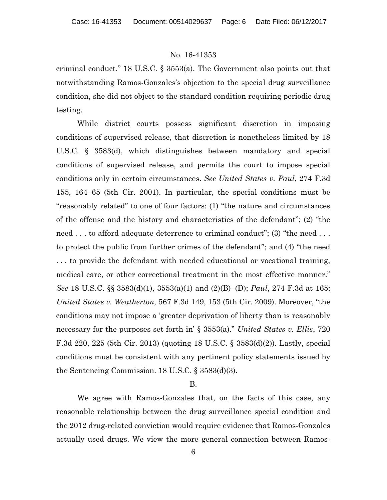criminal conduct." 18 U.S.C. § 3553(a). The Government also points out that notwithstanding Ramos-Gonzales's objection to the special drug surveillance condition, she did not object to the standard condition requiring periodic drug testing.

While district courts possess significant discretion in imposing conditions of supervised release, that discretion is nonetheless limited by 18 U.S.C. § 3583(d), which distinguishes between mandatory and special conditions of supervised release, and permits the court to impose special conditions only in certain circumstances. *See United States v. Paul*, 274 F.3d 155, 164–65 (5th Cir. 2001). In particular, the special conditions must be "reasonably related" to one of four factors: (1) "the nature and circumstances of the offense and the history and characteristics of the defendant"; (2) "the need . . . to afford adequate deterrence to criminal conduct"; (3) "the need . . . to protect the public from further crimes of the defendant"; and (4) "the need . . . to provide the defendant with needed educational or vocational training, medical care, or other correctional treatment in the most effective manner." *See* 18 U.S.C. §§ 3583(d)(1), 3553(a)(1) and (2)(B)–(D); *Paul*, 274 F.3d at 165; *United States v. Weatherton,* 567 F.3d 149, 153 (5th Cir. 2009). Moreover, "the conditions may not impose a 'greater deprivation of liberty than is reasonably necessary for the purposes set forth in' § 3553(a)." *United States v. Ellis*, 720 F.3d 220, 225 (5th Cir. 2013) (quoting 18 U.S.C. § 3583(d)(2)). Lastly, special conditions must be consistent with any pertinent policy statements issued by the Sentencing Commission. 18 U.S.C. § 3583(d)(3).

#### B.

We agree with Ramos-Gonzales that, on the facts of this case, any reasonable relationship between the drug surveillance special condition and the 2012 drug-related conviction would require evidence that Ramos-Gonzales actually used drugs. We view the more general connection between Ramos-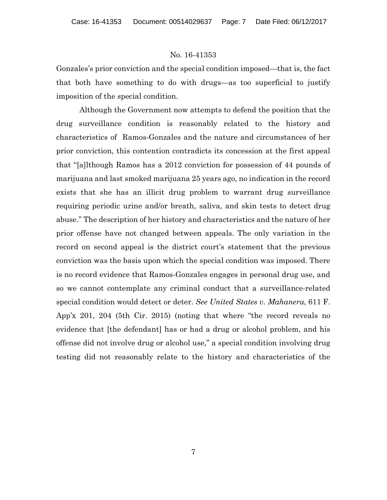Gonzales's prior conviction and the special condition imposed—that is, the fact that both have something to do with drugs—as too superficial to justify imposition of the special condition.

 Although the Government now attempts to defend the position that the drug surveillance condition is reasonably related to the history and characteristics of Ramos-Gonzales and the nature and circumstances of her prior conviction, this contention contradicts its concession at the first appeal that "[a]lthough Ramos has a 2012 conviction for possession of 44 pounds of marijuana and last smoked marijuana 25 years ago, no indication in the record exists that she has an illicit drug problem to warrant drug surveillance requiring periodic urine and/or breath, saliva, and skin tests to detect drug abuse." The description of her history and characteristics and the nature of her prior offense have not changed between appeals. The only variation in the record on second appeal is the district court's statement that the previous conviction was the basis upon which the special condition was imposed. There is no record evidence that Ramos-Gonzales engages in personal drug use, and so we cannot contemplate any criminal conduct that a surveillance-related special condition would detect or deter. *See United States v. Mahanera*, 611 F. App'x 201, 204 (5th Cir. 2015) (noting that where "the record reveals no evidence that [the defendant] has or had a drug or alcohol problem, and his offense did not involve drug or alcohol use," a special condition involving drug testing did not reasonably relate to the history and characteristics of the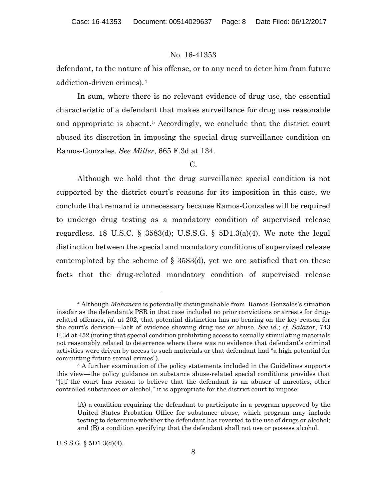defendant, to the nature of his offense, or to any need to deter him from future addiction-driven crimes).4

In sum, where there is no relevant evidence of drug use, the essential characteristic of a defendant that makes surveillance for drug use reasonable and appropriate is absent.5 Accordingly, we conclude that the district court abused its discretion in imposing the special drug surveillance condition on Ramos-Gonzales. *See Miller*, 665 F.3d at 134.

### $C<sub>1</sub>$

Although we hold that the drug surveillance special condition is not supported by the district court's reasons for its imposition in this case, we conclude that remand is unnecessary because Ramos-Gonzales will be required to undergo drug testing as a mandatory condition of supervised release regardless. 18 U.S.C. § 3583(d); U.S.S.G. § 5D1.3(a)(4). We note the legal distinction between the special and mandatory conditions of supervised release contemplated by the scheme of  $\S$  3583(d), yet we are satisfied that on these facts that the drug-related mandatory condition of supervised release

U.S.S.G. § 5D1.3(d)(4).

<sup>4</sup> Although *Mahanera* is potentially distinguishable from Ramos-Gonzales's situation insofar as the defendant's PSR in that case included no prior convictions or arrests for drugrelated offenses, *id.* at 202, that potential distinction has no bearing on the key reason for the court's decision—lack of evidence showing drug use or abuse. *See id*.; *cf. Salazar*, 743 F.3d at 452 (noting that special condition prohibiting access to sexually stimulating materials not reasonably related to deterrence where there was no evidence that defendant's criminal activities were driven by access to such materials or that defendant had "a high potential for committing future sexual crimes").

<sup>&</sup>lt;sup>5</sup> A further examination of the policy statements included in the Guidelines supports this view—the policy guidance on substance abuse-related special conditions provides that "[i]f the court has reason to believe that the defendant is an abuser of narcotics, other controlled substances or alcohol," it is appropriate for the district court to impose:

<sup>(</sup>A) a condition requiring the defendant to participate in a program approved by the United States Probation Office for substance abuse, which program may include testing to determine whether the defendant has reverted to the use of drugs or alcohol; and (B) a condition specifying that the defendant shall not use or possess alcohol.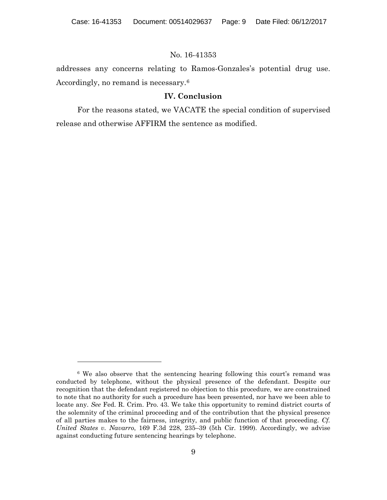addresses any concerns relating to Ramos-Gonzales's potential drug use. Accordingly, no remand is necessary.6

## **IV. Conclusion**

For the reasons stated, we VACATE the special condition of supervised release and otherwise AFFIRM the sentence as modified.

<sup>&</sup>lt;sup>6</sup> We also observe that the sentencing hearing following this court's remand was conducted by telephone, without the physical presence of the defendant. Despite our recognition that the defendant registered no objection to this procedure, we are constrained to note that no authority for such a procedure has been presented, nor have we been able to locate any. *See* Fed. R. Crim. Pro. 43. We take this opportunity to remind district courts of the solemnity of the criminal proceeding and of the contribution that the physical presence of all parties makes to the fairness, integrity, and public function of that proceeding. *Cf. United States v. Navarro*, 169 F.3d 228, 235–39 (5th Cir. 1999). Accordingly, we advise against conducting future sentencing hearings by telephone.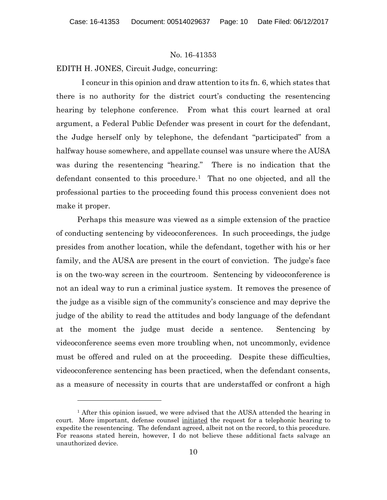EDITH H. JONES, Circuit Judge, concurring:

 I concur in this opinion and draw attention to its fn. 6, which states that there is no authority for the district court's conducting the resentencing hearing by telephone conference. From what this court learned at oral argument, a Federal Public Defender was present in court for the defendant, the Judge herself only by telephone, the defendant "participated" from a halfway house somewhere, and appellate counsel was unsure where the AUSA was during the resentencing "hearing." There is no indication that the defendant consented to this procedure.<sup>1</sup> That no one objected, and all the professional parties to the proceeding found this process convenient does not make it proper.

Perhaps this measure was viewed as a simple extension of the practice of conducting sentencing by videoconferences. In such proceedings, the judge presides from another location, while the defendant, together with his or her family, and the AUSA are present in the court of conviction. The judge's face is on the two-way screen in the courtroom. Sentencing by videoconference is not an ideal way to run a criminal justice system. It removes the presence of the judge as a visible sign of the community's conscience and may deprive the judge of the ability to read the attitudes and body language of the defendant at the moment the judge must decide a sentence. Sentencing by videoconference seems even more troubling when, not uncommonly, evidence must be offered and ruled on at the proceeding. Despite these difficulties, videoconference sentencing has been practiced, when the defendant consents, as a measure of necessity in courts that are understaffed or confront a high

 $<sup>1</sup>$  After this opinion issued, we were advised that the AUSA attended the hearing in</sup> court. More important, defense counsel initiated the request for a telephonic hearing to expedite the resentencing. The defendant agreed, albeit not on the record, to this procedure. For reasons stated herein, however, I do not believe these additional facts salvage an unauthorized device.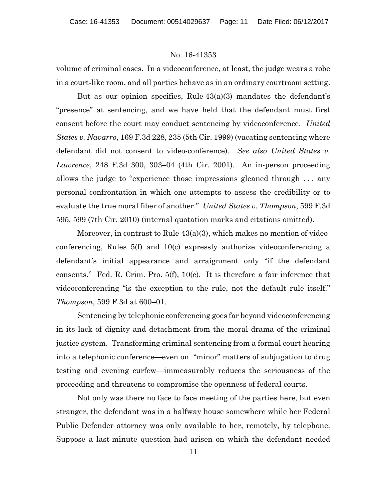volume of criminal cases. In a videoconference, at least, the judge wears a robe in a court-like room, and all parties behave as in an ordinary courtroom setting.

But as our opinion specifies, Rule 43(a)(3) mandates the defendant's "presence" at sentencing, and we have held that the defendant must first consent before the court may conduct sentencing by videoconference. *United States v. Navarro*, 169 F.3d 228, 235 (5th Cir. 1999) (vacating sentencing where defendant did not consent to video-conference). *See also United States v. Lawrence*, 248 F.3d 300, 303–04 (4th Cir. 2001). An in-person proceeding allows the judge to "experience those impressions gleaned through . . . any personal confrontation in which one attempts to assess the credibility or to evaluate the true moral fiber of another." *United States v. Thompson*, 599 F.3d 595, 599 (7th Cir. 2010) (internal quotation marks and citations omitted).

Moreover, in contrast to Rule 43(a)(3), which makes no mention of videoconferencing, Rules 5(f) and 10(c) expressly authorize videoconferencing a defendant's initial appearance and arraignment only "if the defendant consents." Fed. R. Crim. Pro. 5(f), 10(c). It is therefore a fair inference that videoconferencing "is the exception to the rule, not the default rule itself." *Thompson*, 599 F.3d at 600–01.

Sentencing by telephonic conferencing goes far beyond videoconferencing in its lack of dignity and detachment from the moral drama of the criminal justice system. Transforming criminal sentencing from a formal court hearing into a telephonic conference—even on "minor" matters of subjugation to drug testing and evening curfew—immeasurably reduces the seriousness of the proceeding and threatens to compromise the openness of federal courts.

Not only was there no face to face meeting of the parties here, but even stranger, the defendant was in a halfway house somewhere while her Federal Public Defender attorney was only available to her, remotely, by telephone. Suppose a last-minute question had arisen on which the defendant needed